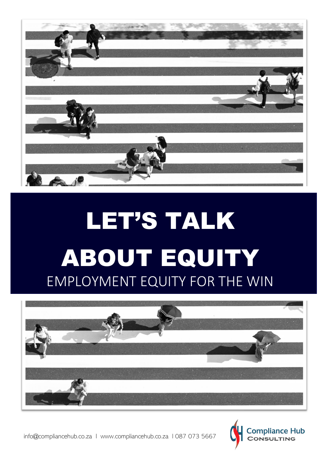

# LET'S TALK ABOUT EQUITY EMPLOYMENT EQUITY FOR THE WIN





info@compliancehub.co.za l www.compliancehub.co.za l 087 073 5667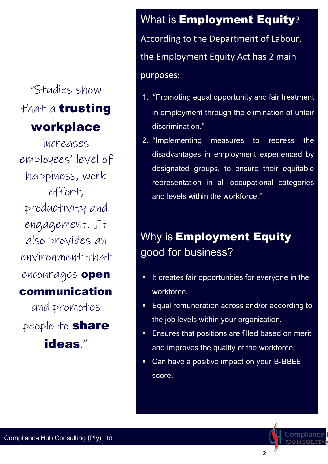### "Studies show that a **trusting** workplace

increases employees' level of happiness, work effort, productivity and engagement. It also provides an environment that encourages open communication and promotes people to **share** ideas."

### What is **Employment Equity**? According to the Department of Labour, the Employment Equity Act has 2 main purposes:

- 1. "Promoting equal opportunity and fair treatment in employment through the elimination of unfair discrimination."
- 2. "Implementing measures to redress the disadvantages in employment experienced by designated groups, to ensure their equitable representation in all occupational categories and levels within the workforce."

### Why is **Employment Equity** good for business?

- It creates fair opportunities for everyone in the workforce.
- Equal remuneration across and/or according to the job levels within your organization.
- **Ensures that positions are filled based on merit** and improves the quality of the workforce.
- Can have a positive impact on your B-BBEE score.

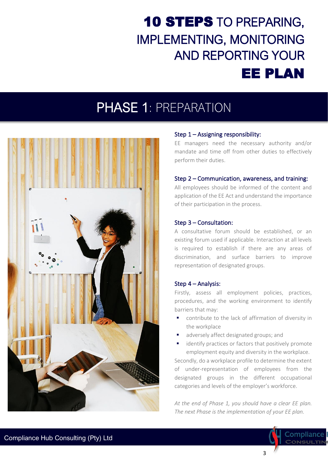### 10 STEPS TO PREPARING, **IMPLEMENTING, MONITORING AND REPORTING YOUR EE PLAN**

### PHASE 1: PREPARATION



#### Step 1 – Assigning responsibility:

EE managers need the necessary authority and/or mandate and time off from other duties to effectively perform their duties.

#### Step 2 – Communication, awareness, and training:

All employees should be informed of the content and application of the EE Act and understand the importance of their participation in the process.

#### Step 3 – Consultation:

A consultative forum should be established, or an existing forum used if applicable. Interaction at all levels is required to establish if there are any areas of discrimination, and surface barriers to improve representation of designated groups.

#### Step 4 – Analysis:

Firstly, assess all employment policies, practices, procedures, and the working environment to identify barriers that may:

- contribute to the lack of affirmation of diversity in the workplace
- adversely affect designated groups; and
- identify practices or factors that positively promote employment equity and diversity in the workplace.

Secondly, do a workplace profile to determine the extent of under-representation of employees from the designated groups in the different occupational categories and levels of the employer's workforce.

*At the end of Phase 1, you should have a clear EE plan. The next Phase is the implementation of your EE plan.*

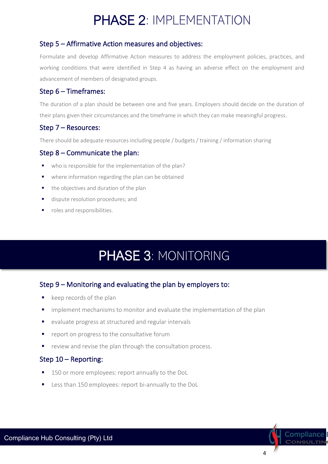### PHASE 2: IMPLEMENTATION

### Step 5 – Affirmative Action measures and objectives:

Formulate and develop Affirmative Action measures to address the employment policies, practices, and working conditions that were identified in Step 4 as having an adverse effect on the employment and advancement of members of designated groups.

### Step 6 – Timeframes:

The duration of a plan should be between one and five years. Employers should decide on the duration of their plans given their circumstances and the timeframe in which they can make meaningful progress.

### Step 7 – Resources:

There should be adequate resources including people / budgets / training / information sharing

#### Step 8 – Communicate the plan:

- who is responsible for the implementation of the plan?
- where information regarding the plan can be obtained
- the objectives and duration of the plan
- **■** dispute resolution procedures; and
- roles and responsibilities.

### PHASE 3: MONITORING

### Step 9 – Monitoring and evaluating the plan by employers to:

- keep records of the plan
- **E** implement mechanisms to monitor and evaluate the implementation of the plan
- evaluate progress at structured and regular intervals
- report on progress to the consultative forum
- review and revise the plan through the consultation process.

#### Step 10 – Reporting:

- 150 or more employees: report annually to the DoL
- Less than 150 employees: report bi-annually to the DoL